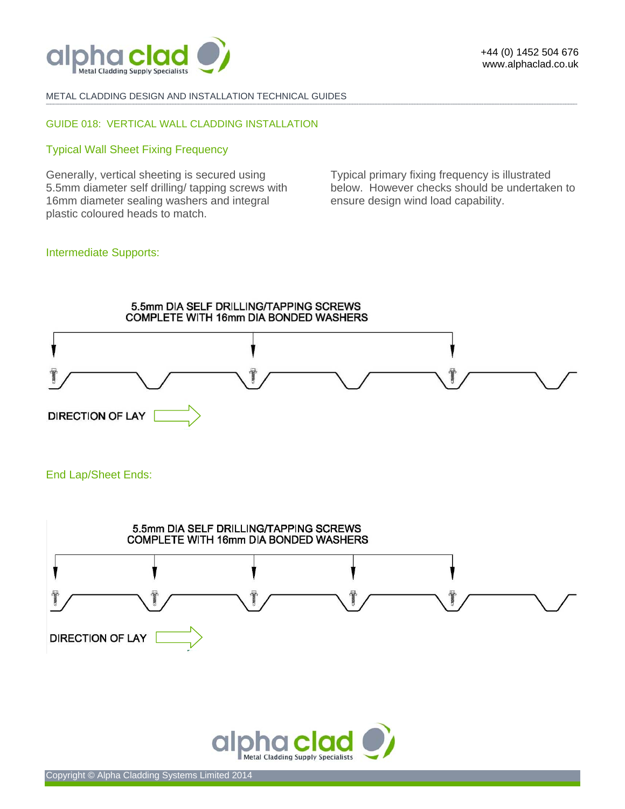

METAL CLADDING DESIGN AND INSTALLATION TECHNICAL GUIDES

### GUIDE 018: VERTICAL WALL CLADDING INSTALLATION

#### Typical Wall Sheet Fixing Frequency

Generally, vertical sheeting is secured using 5.5mm diameter self drilling/ tapping screws with 16mm diameter sealing washers and integral plastic coloured heads to match.

Typical primary fixing frequency is illustrated below. However checks should be undertaken to ensure design wind load capability.

# Intermediate Supports:



**-------------------------------------------------------------------------------------------------------------------------------------------------------------------------------------------------------------------------------------------------------------------------------------------------------------------------------------------------------------------------------------------------------**